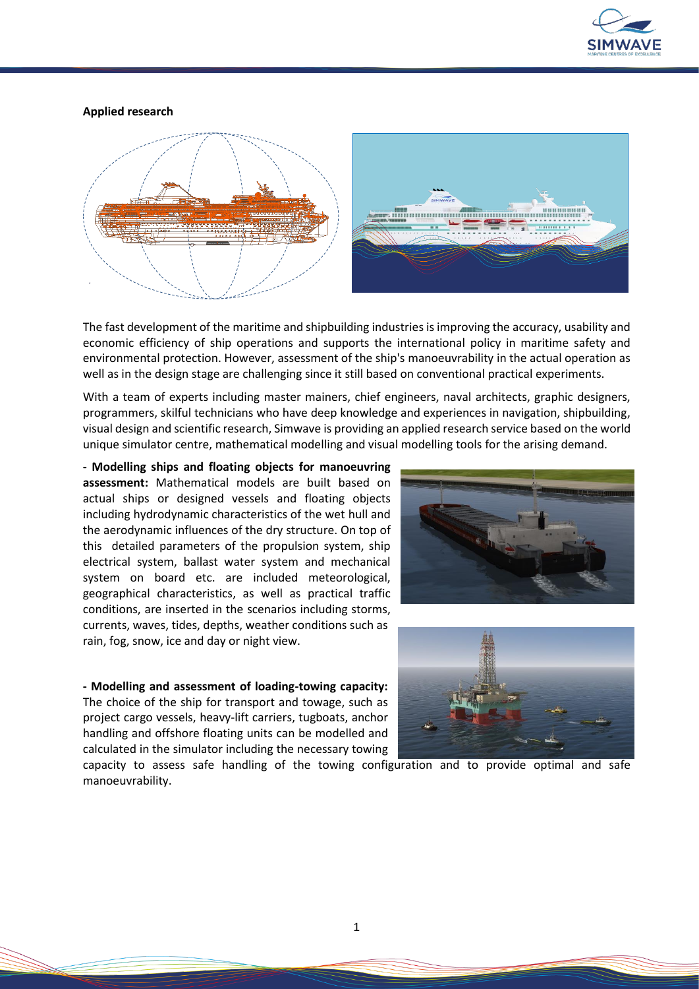

## **Applied research**



The fast development of the maritime and shipbuilding industries is improving the accuracy, usability and economic efficiency of ship operations and supports the international policy in maritime safety and environmental protection. However, assessment of the ship's manoeuvrability in the actual operation as well as in the design stage are challenging since it still based on conventional practical experiments.

With a team of experts including master mainers, chief engineers, naval architects, graphic designers, programmers, skilful technicians who have deep knowledge and experiences in navigation, shipbuilding, visual design and scientific research, Simwave is providing an applied research service based on the world unique simulator centre, mathematical modelling and visual modelling tools for the arising demand.

**- Modelling ships and floating objects for manoeuvring assessment:** Mathematical models are built based on actual ships or designed vessels and floating objects including hydrodynamic characteristics of the wet hull and the aerodynamic influences of the dry structure. On top of this detailed parameters of the propulsion system, ship electrical system, ballast water system and mechanical system on board etc. are included meteorological, geographical characteristics, as well as practical traffic conditions, are inserted in the scenarios including storms, currents, waves, tides, depths, weather conditions such as rain, fog, snow, ice and day or night view.

**- Modelling and assessment of loading-towing capacity:**  The choice of the ship for transport and towage, such as project cargo vessels, heavy-lift carriers, tugboats, anchor handling and offshore floating units can be modelled and calculated in the simulator including the necessary towing





capacity to assess safe handling of the towing configuration and to provide optimal and safe manoeuvrability.